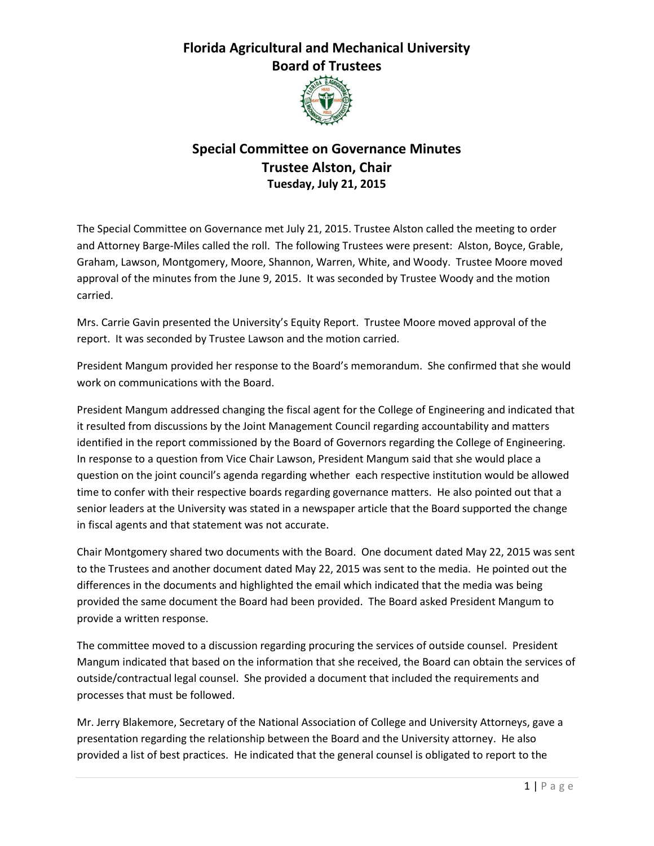## **Florida Agricultural and Mechanical University Board of Trustees**



## **Special Committee on Governance Minutes Trustee Alston, Chair Tuesday, July 21, 2015**

The Special Committee on Governance met July 21, 2015. Trustee Alston called the meeting to order and Attorney Barge-Miles called the roll. The following Trustees were present: Alston, Boyce, Grable, Graham, Lawson, Montgomery, Moore, Shannon, Warren, White, and Woody. Trustee Moore moved approval of the minutes from the June 9, 2015. It was seconded by Trustee Woody and the motion carried.

Mrs. Carrie Gavin presented the University's Equity Report. Trustee Moore moved approval of the report. It was seconded by Trustee Lawson and the motion carried.

President Mangum provided her response to the Board's memorandum. She confirmed that she would work on communications with the Board.

President Mangum addressed changing the fiscal agent for the College of Engineering and indicated that it resulted from discussions by the Joint Management Council regarding accountability and matters identified in the report commissioned by the Board of Governors regarding the College of Engineering. In response to a question from Vice Chair Lawson, President Mangum said that she would place a question on the joint council's agenda regarding whether each respective institution would be allowed time to confer with their respective boards regarding governance matters. He also pointed out that a senior leaders at the University was stated in a newspaper article that the Board supported the change in fiscal agents and that statement was not accurate.

Chair Montgomery shared two documents with the Board. One document dated May 22, 2015 was sent to the Trustees and another document dated May 22, 2015 was sent to the media. He pointed out the differences in the documents and highlighted the email which indicated that the media was being provided the same document the Board had been provided. The Board asked President Mangum to provide a written response.

The committee moved to a discussion regarding procuring the services of outside counsel. President Mangum indicated that based on the information that she received, the Board can obtain the services of outside/contractual legal counsel. She provided a document that included the requirements and processes that must be followed.

Mr. Jerry Blakemore, Secretary of the National Association of College and University Attorneys, gave a presentation regarding the relationship between the Board and the University attorney. He also provided a list of best practices. He indicated that the general counsel is obligated to report to the